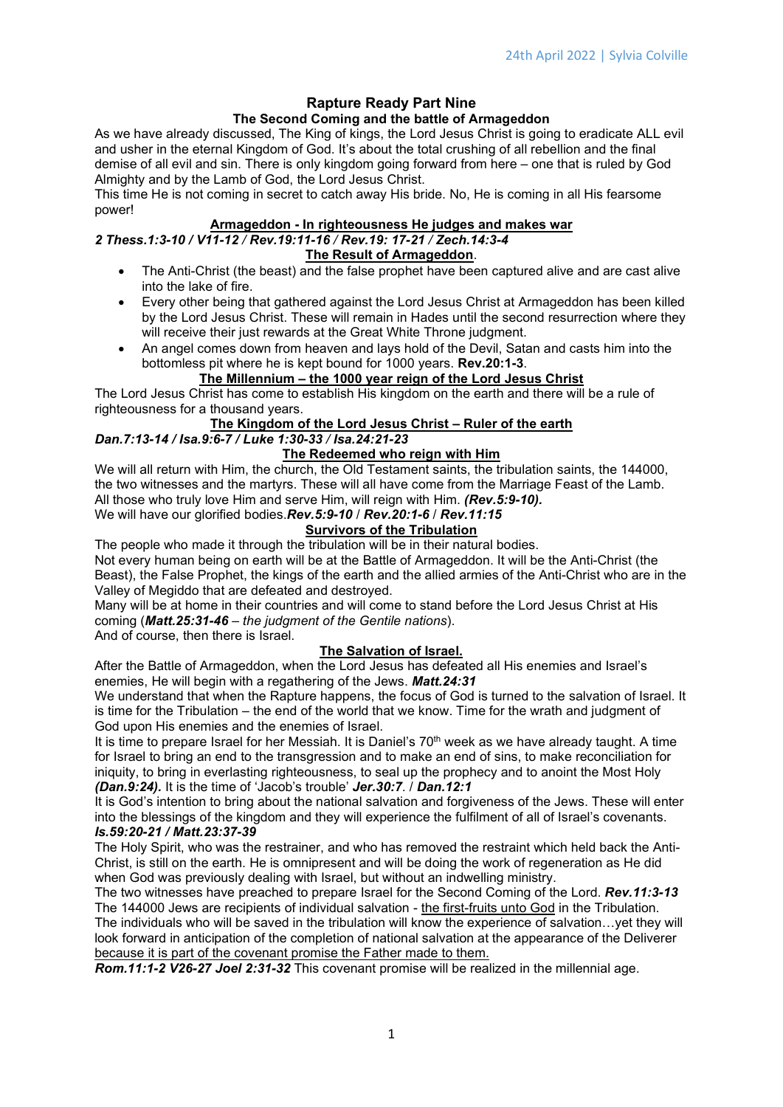#### Rapture Ready Part Nine The Second Coming and the battle of Armageddon

As we have already discussed, The King of kings, the Lord Jesus Christ is going to eradicate ALL evil and usher in the eternal Kingdom of God. It's about the total crushing of all rebellion and the final demise of all evil and sin. There is only kingdom going forward from here – one that is ruled by God Almighty and by the Lamb of God, the Lord Jesus Christ.

This time He is not coming in secret to catch away His bride. No, He is coming in all His fearsome power!

#### Armageddon - In righteousness He judges and makes war

## 2 Thess.1:3-10 / V11-12 / Rev.19:11-16 / Rev.19: 17-21 / Zech.14:3-4

## The Result of Armageddon.

- The Anti-Christ (the beast) and the false prophet have been captured alive and are cast alive into the lake of fire.
- Every other being that gathered against the Lord Jesus Christ at Armageddon has been killed by the Lord Jesus Christ. These will remain in Hades until the second resurrection where they will receive their just rewards at the Great White Throne judgment.
- An angel comes down from heaven and lays hold of the Devil, Satan and casts him into the bottomless pit where he is kept bound for 1000 years. Rev.20:1-3.

## The Millennium – the 1000 year reign of the Lord Jesus Christ

The Lord Jesus Christ has come to establish His kingdom on the earth and there will be a rule of righteousness for a thousand years.

#### The Kingdom of the Lord Jesus Christ – Ruler of the earth

# Dan.7:13-14 / Isa.9:6-7 / Luke 1:30-33 / Isa.24:21-23

## The Redeemed who reign with Him

We will all return with Him, the church, the Old Testament saints, the tribulation saints, the 144000, the two witnesses and the martyrs. These will all have come from the Marriage Feast of the Lamb. All those who truly love Him and serve Him, will reign with Him. (Rev.5:9-10).

We will have our glorified bodies.Rev.5:9-10 / Rev.20:1-6 / Rev.11:15

## Survivors of the Tribulation

The people who made it through the tribulation will be in their natural bodies.

Not every human being on earth will be at the Battle of Armageddon. It will be the Anti-Christ (the Beast), the False Prophet, the kings of the earth and the allied armies of the Anti-Christ who are in the Valley of Megiddo that are defeated and destroyed.

Many will be at home in their countries and will come to stand before the Lord Jesus Christ at His coming (Matt.25:31-46 – the judgment of the Gentile nations).

And of course, then there is Israel.

## The Salvation of Israel.

After the Battle of Armageddon, when the Lord Jesus has defeated all His enemies and Israel's enemies, He will begin with a regathering of the Jews. Matt.24:31

We understand that when the Rapture happens, the focus of God is turned to the salvation of Israel. It is time for the Tribulation – the end of the world that we know. Time for the wrath and judgment of God upon His enemies and the enemies of Israel.

It is time to prepare Israel for her Messiah. It is Daniel's 70<sup>th</sup> week as we have already taught. A time for Israel to bring an end to the transgression and to make an end of sins, to make reconciliation for iniquity, to bring in everlasting righteousness, to seal up the prophecy and to anoint the Most Holy (Dan.9:24). It is the time of 'Jacob's trouble' Jer.30:7. / Dan.12:1

It is God's intention to bring about the national salvation and forgiveness of the Jews. These will enter into the blessings of the kingdom and they will experience the fulfilment of all of Israel's covenants. Is.59:20-21 / Matt.23:37-39

The Holy Spirit, who was the restrainer, and who has removed the restraint which held back the Anti-Christ, is still on the earth. He is omnipresent and will be doing the work of regeneration as He did when God was previously dealing with Israel, but without an indwelling ministry.

The two witnesses have preached to prepare Israel for the Second Coming of the Lord. Rev.11:3-13 The 144000 Jews are recipients of individual salvation - the first-fruits unto God in the Tribulation. The individuals who will be saved in the tribulation will know the experience of salvation…yet they will look forward in anticipation of the completion of national salvation at the appearance of the Deliverer because it is part of the covenant promise the Father made to them.

Rom.11:1-2 V26-27 Joel 2:31-32 This covenant promise will be realized in the millennial age.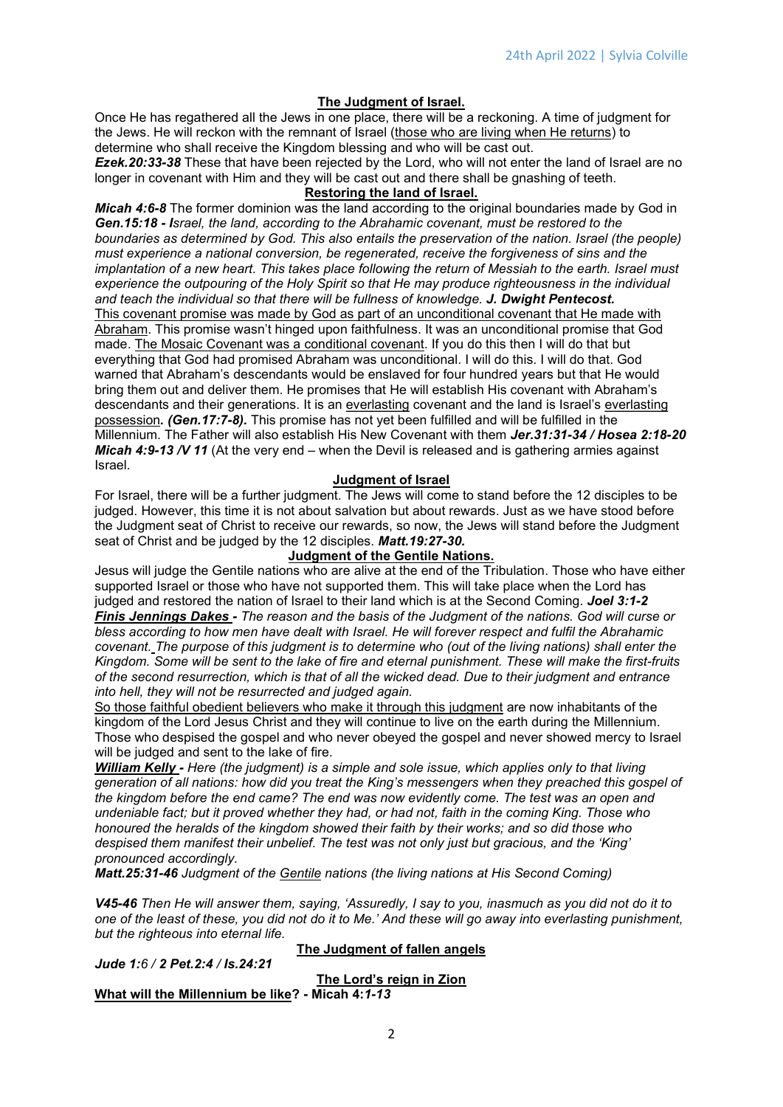#### The Judgment of Israel.

Once He has regathered all the Jews in one place, there will be a reckoning. A time of judgment for the Jews. He will reckon with the remnant of Israel (those who are living when He returns) to determine who shall receive the Kingdom blessing and who will be cast out. Ezek. 20:33-38 These that have been rejected by the Lord, who will not enter the land of Israel are no

longer in covenant with Him and they will be cast out and there shall be gnashing of teeth.

## Restoring the land of Israel.

Micah 4:6-8 The former dominion was the land according to the original boundaries made by God in Gen.15:18 - Israel, the land, according to the Abrahamic covenant, must be restored to the boundaries as determined by God. This also entails the preservation of the nation. Israel (the people) must experience a national conversion, be regenerated, receive the forgiveness of sins and the implantation of a new heart. This takes place following the return of Messiah to the earth. Israel must experience the outpouring of the Holy Spirit so that He may produce righteousness in the individual and teach the individual so that there will be fullness of knowledge. J. Dwight Pentecost. This covenant promise was made by God as part of an unconditional covenant that He made with Abraham. This promise wasn't hinged upon faithfulness. It was an unconditional promise that God made. The Mosaic Covenant was a conditional covenant. If you do this then I will do that but everything that God had promised Abraham was unconditional. I will do this. I will do that. God warned that Abraham's descendants would be enslaved for four hundred years but that He would bring them out and deliver them. He promises that He will establish His covenant with Abraham's descendants and their generations. It is an everlasting covenant and the land is Israel's everlasting possession. (Gen.17:7-8). This promise has not yet been fulfilled and will be fulfilled in the Millennium. The Father will also establish His New Covenant with them Jer.31:31-34 / Hosea 2:18-20 Micah 4:9-13 /V 11 (At the very end – when the Devil is released and is gathering armies against Israel.

## Judgment of Israel

For Israel, there will be a further judgment. The Jews will come to stand before the 12 disciples to be judged. However, this time it is not about salvation but about rewards. Just as we have stood before the Judgment seat of Christ to receive our rewards, so now, the Jews will stand before the Judgment seat of Christ and be judged by the 12 disciples. Matt.19:27-30.

#### Judgment of the Gentile Nations.

Jesus will judge the Gentile nations who are alive at the end of the Tribulation. Those who have either supported Israel or those who have not supported them. This will take place when the Lord has judged and restored the nation of Israel to their land which is at the Second Coming. Joel 3:1-2 Finis Jennings Dakes - The reason and the basis of the Judgment of the nations. God will curse or bless according to how men have dealt with Israel. He will forever respect and fulfil the Abrahamic covenant. The purpose of this judgment is to determine who (out of the living nations) shall enter the Kingdom. Some will be sent to the lake of fire and eternal punishment. These will make the first-fruits of the second resurrection, which is that of all the wicked dead. Due to their judgment and entrance into hell, they will not be resurrected and judged again.

So those faithful obedient believers who make it through this judgment are now inhabitants of the kingdom of the Lord Jesus Christ and they will continue to live on the earth during the Millennium. Those who despised the gospel and who never obeyed the gospel and never showed mercy to Israel will be judged and sent to the lake of fire.

William Kelly - Here (the judgment) is a simple and sole issue, which applies only to that living generation of all nations: how did you treat the King's messengers when they preached this gospel of the kingdom before the end came? The end was now evidently come. The test was an open and undeniable fact; but it proved whether they had, or had not, faith in the coming King. Those who honoured the heralds of the kingdom showed their faith by their works; and so did those who despised them manifest their unbelief. The test was not only just but gracious, and the 'King' pronounced accordingly.

Matt.25:31-46 Judgment of the Gentile nations (the living nations at His Second Coming)

V45-46 Then He will answer them, saying, 'Assuredly, I say to you, inasmuch as you did not do it to one of the least of these, you did not do it to Me.' And these will go away into everlasting punishment, but the righteous into eternal life.

|  | Jude 1:6 / 2 Pet.2:4 / Is.24:21 |
|--|---------------------------------|
|  |                                 |

## The Judgment of fallen angels

The Lord's reign in Zion What will the Millennium be like? - Micah 4:1-13